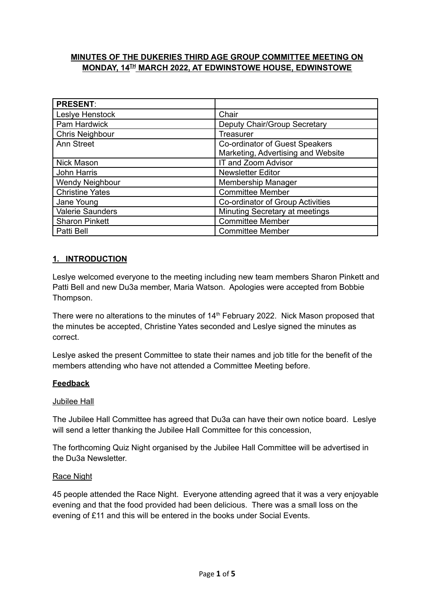## **MINUTES OF THE DUKERIES THIRD AGE GROUP COMMITTEE MEETING ON MONDAY, 14 TH MARCH 2022, AT EDWINSTOWE HOUSE, EDWINSTOWE**

| <b>PRESENT:</b>         |                                    |
|-------------------------|------------------------------------|
| Leslye Henstock         | Chair                              |
| Pam Hardwick            | Deputy Chair/Group Secretary       |
| Chris Neighbour         | Treasurer                          |
| Ann Street              | Co-ordinator of Guest Speakers     |
|                         | Marketing, Advertising and Website |
| Nick Mason              | IT and Zoom Advisor                |
| John Harris             | <b>Newsletter Editor</b>           |
| <b>Wendy Neighbour</b>  | Membership Manager                 |
| <b>Christine Yates</b>  | <b>Committee Member</b>            |
| Jane Young              | Co-ordinator of Group Activities   |
| <b>Valerie Saunders</b> | Minuting Secretary at meetings     |
| <b>Sharon Pinkett</b>   | <b>Committee Member</b>            |
| Patti Bell              | <b>Committee Member</b>            |

## **1. INTRODUCTION**

Leslye welcomed everyone to the meeting including new team members Sharon Pinkett and Patti Bell and new Du3a member, Maria Watson. Apologies were accepted from Bobbie Thompson.

There were no alterations to the minutes of 14<sup>th</sup> February 2022. Nick Mason proposed that the minutes be accepted, Christine Yates seconded and Leslye signed the minutes as correct.

Leslye asked the present Committee to state their names and job title for the benefit of the members attending who have not attended a Committee Meeting before.

### **Feedback**

### Jubilee Hall

The Jubilee Hall Committee has agreed that Du3a can have their own notice board. Leslye will send a letter thanking the Jubilee Hall Committee for this concession,

The forthcoming Quiz Night organised by the Jubilee Hall Committee will be advertised in the Du3a Newsletter.

### Race Night

45 people attended the Race Night. Everyone attending agreed that it was a very enjoyable evening and that the food provided had been delicious. There was a small loss on the evening of £11 and this will be entered in the books under Social Events.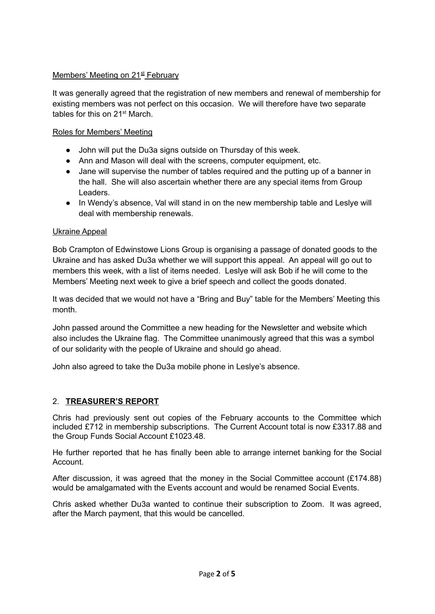# Members' Meeting on 21<sup>st</sup> February

It was generally agreed that the registration of new members and renewal of membership for existing members was not perfect on this occasion. We will therefore have two separate tables for this on 21<sup>st</sup> March.

## Roles for Members' Meeting

- John will put the Du3a signs outside on Thursday of this week.
- Ann and Mason will deal with the screens, computer equipment, etc.
- Jane will supervise the number of tables required and the putting up of a banner in the hall. She will also ascertain whether there are any special items from Group Leaders.
- In Wendy's absence, Val will stand in on the new membership table and Leslye will deal with membership renewals.

### Ukraine Appeal

Bob Crampton of Edwinstowe Lions Group is organising a passage of donated goods to the Ukraine and has asked Du3a whether we will support this appeal. An appeal will go out to members this week, with a list of items needed. Leslye will ask Bob if he will come to the Members' Meeting next week to give a brief speech and collect the goods donated.

It was decided that we would not have a "Bring and Buy" table for the Members' Meeting this month.

John passed around the Committee a new heading for the Newsletter and website which also includes the Ukraine flag. The Committee unanimously agreed that this was a symbol of our solidarity with the people of Ukraine and should go ahead.

John also agreed to take the Du3a mobile phone in Leslye's absence.

## 2. **TREASURER'S REPORT**

Chris had previously sent out copies of the February accounts to the Committee which included £712 in membership subscriptions. The Current Account total is now £3317.88 and the Group Funds Social Account £1023.48.

He further reported that he has finally been able to arrange internet banking for the Social Account.

After discussion, it was agreed that the money in the Social Committee account  $(E174.88)$ would be amalgamated with the Events account and would be renamed Social Events.

Chris asked whether Du3a wanted to continue their subscription to Zoom. It was agreed, after the March payment, that this would be cancelled.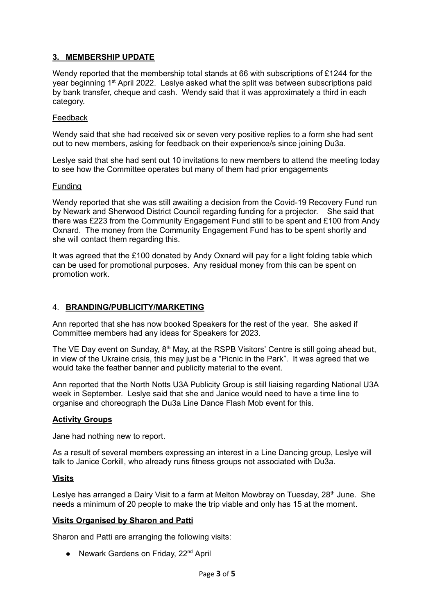## **3. MEMBERSHIP UPDATE**

Wendy reported that the membership total stands at 66 with subscriptions of £1244 for the year beginning 1<sup>st</sup> April 2022. Leslye asked what the split was between subscriptions paid by bank transfer, cheque and cash. Wendy said that it was approximately a third in each category.

#### Feedback

Wendy said that she had received six or seven very positive replies to a form she had sent out to new members, asking for feedback on their experience/s since joining Du3a.

Leslye said that she had sent out 10 invitations to new members to attend the meeting today to see how the Committee operates but many of them had prior engagements

#### Funding

Wendy reported that she was still awaiting a decision from the Covid-19 Recovery Fund run by Newark and Sherwood District Council regarding funding for a projector. She said that there was £223 from the Community Engagement Fund still to be spent and £100 from Andy Oxnard. The money from the Community Engagement Fund has to be spent shortly and she will contact them regarding this.

It was agreed that the £100 donated by Andy Oxnard will pay for a light folding table which can be used for promotional purposes. Any residual money from this can be spent on promotion work.

### 4. **BRANDING/PUBLICITY/MARKETING**

Ann reported that she has now booked Speakers for the rest of the year. She asked if Committee members had any ideas for Speakers for 2023.

The VE Day event on Sunday, 8<sup>th</sup> May, at the RSPB Visitors' Centre is still going ahead but, in view of the Ukraine crisis, this may just be a "Picnic in the Park". It was agreed that we would take the feather banner and publicity material to the event.

Ann reported that the North Notts U3A Publicity Group is still liaising regarding National U3A week in September. Leslye said that she and Janice would need to have a time line to organise and choreograph the Du3a Line Dance Flash Mob event for this.

#### **Activity Groups**

Jane had nothing new to report.

As a result of several members expressing an interest in a Line Dancing group, Leslye will talk to Janice Corkill, who already runs fitness groups not associated with Du3a.

#### **Visits**

Leslye has arranged a Dairy Visit to a farm at Melton Mowbray on Tuesday, 28<sup>th</sup> June. She needs a minimum of 20 people to make the trip viable and only has 15 at the moment.

#### **Visits Organised by Sharon and Patti**

Sharon and Patti are arranging the following visits:

● Newark Gardens on Friday, 22<sup>nd</sup> April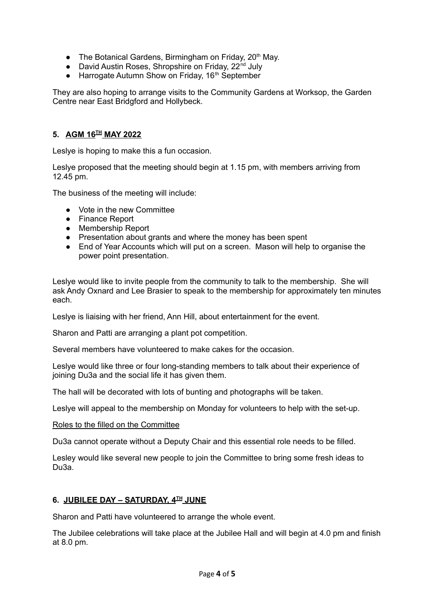- The Botanical Gardens, Birmingham on Friday, 20<sup>th</sup> May.
- David Austin Roses, Shropshire on Friday, 22<sup>nd</sup> July
- Harrogate Autumn Show on Friday, 16<sup>th</sup> September

They are also hoping to arrange visits to the Community Gardens at Worksop, the Garden Centre near East Bridgford and Hollybeck.

## **5. AGM 16 TH MAY 2022**

Leslye is hoping to make this a fun occasion.

Leslye proposed that the meeting should begin at 1.15 pm, with members arriving from 12.45 pm.

The business of the meeting will include:

- Vote in the new Committee
- Finance Report
- Membership Report
- Presentation about grants and where the money has been spent
- End of Year Accounts which will put on a screen. Mason will help to organise the power point presentation.

Leslye would like to invite people from the community to talk to the membership. She will ask Andy Oxnard and Lee Brasier to speak to the membership for approximately ten minutes each.

Leslye is liaising with her friend, Ann Hill, about entertainment for the event.

Sharon and Patti are arranging a plant pot competition.

Several members have volunteered to make cakes for the occasion.

Leslye would like three or four long-standing members to talk about their experience of joining Du3a and the social life it has given them.

The hall will be decorated with lots of bunting and photographs will be taken.

Leslye will appeal to the membership on Monday for volunteers to help with the set-up.

#### Roles to the filled on the Committee

Du3a cannot operate without a Deputy Chair and this essential role needs to be filled.

Lesley would like several new people to join the Committee to bring some fresh ideas to Du3a.

### **6. JUBILEE DAY – SATURDAY, 4 TH JUNE**

Sharon and Patti have volunteered to arrange the whole event.

The Jubilee celebrations will take place at the Jubilee Hall and will begin at 4.0 pm and finish at 8.0 pm.